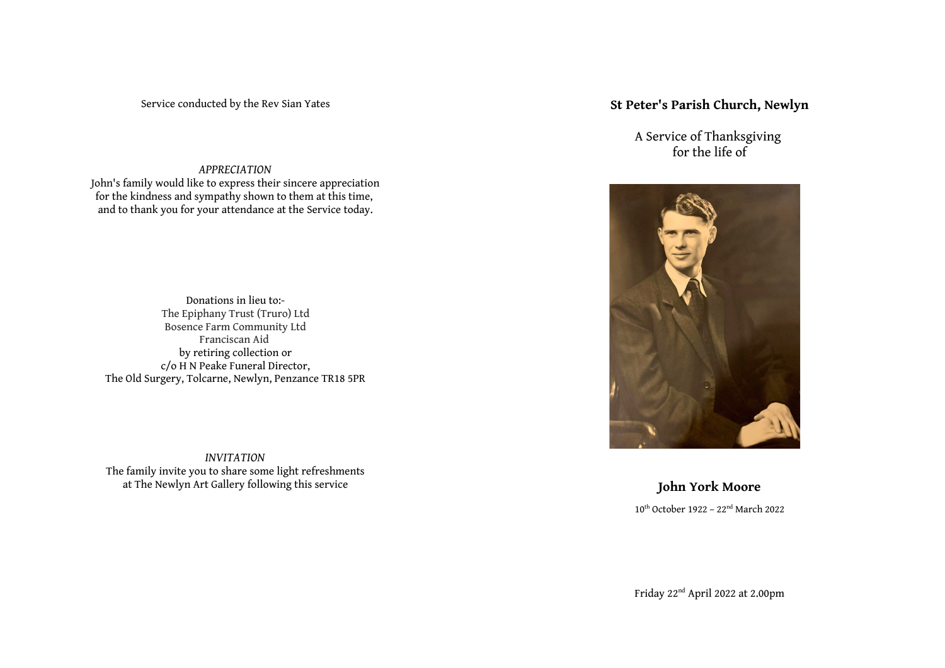Service conducted by the Rev Sian Yates

## **St Peter's Parish Church, Newlyn**

## A Service of Thanksgiving for the life of



**John York Moore** 10th October 1922 – 22nd March 2022

Friday 22nd April 2022 at 2.00pm

## *APPRECIATION*

John's family would like to express their sincere appreciation for the kindness and sympathy shown to them at this time, and to thank you for your attendance at the Service today.

Donations in lieu to:- The Epiphany Trust (Truro) Ltd Bosence Farm Community Ltd Franciscan Aid by retiring collection or c/o H N Peake Funeral Director, The Old Surgery, Tolcarne, Newlyn, Penzance TR18 5PR

*INVITATION* The family invite you to share some light refreshments at The Newlyn Art Gallery following this service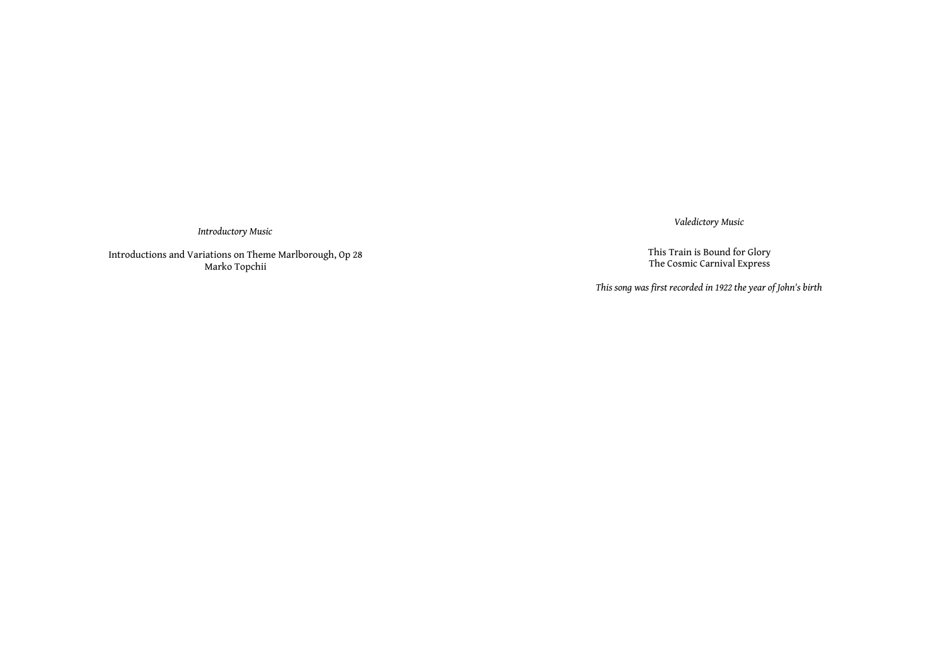*Introductory Music*

Introductions and Variations on Theme Marlborough, Op 28 Marko Topchii

*Valedictory Music*

This Train is Bound for Glory The Cosmic Carnival Express

*This song was first recorded in 1922 the year of John's birth*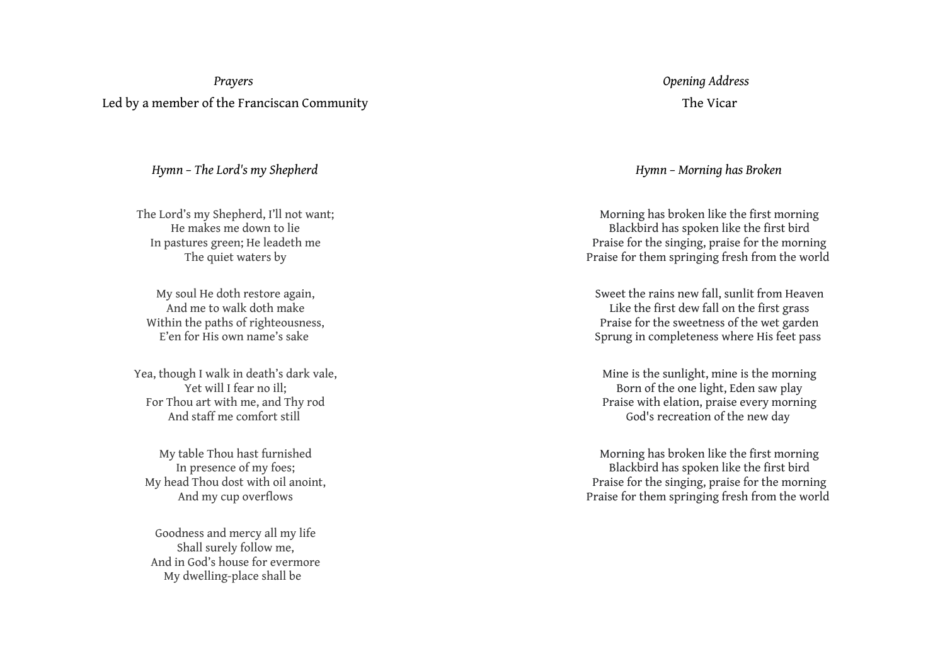*Prayers*  Led by a member of the Franciscan Community

*Hymn – The Lord's my Shepherd*

The Lord's my Shepherd, I'll not want; He makes me down to lie In pastures green; He leadeth me The quiet waters by

My soul He doth restore again, And me to walk doth make Within the paths of righteousness, E'en for His own name's sake

Yea, though I walk in death's dark vale, Yet will I fear no ill; For Thou art with me, and Thy rod And staff me comfort still

My table Thou hast furnished In presence of my foes; My head Thou dost with oil anoint, And my cup overflows

Goodness and mercy all my life Shall surely follow me, And in God's house for evermore My dwelling-place shall be

*Opening Address*  The Vicar

*Hymn – Morning has Broken*

Morning has broken like the first morning Blackbird has spoken like the first bird Praise for the singing, praise for the morning Praise for them springing fresh from the world

Sweet the rains new fall, sunlit from Heaven Like the first dew fall on the first grass Praise for the sweetness of the wet garden Sprung in completeness where His feet pass

Mine is the sunlight, mine is the morning Born of the one light, Eden saw play Praise with elation, praise every morning God's recreation of the new day

Morning has broken like the first morning Blackbird has spoken like the first bird Praise for the singing, praise for the morning Praise for them springing fresh from the world